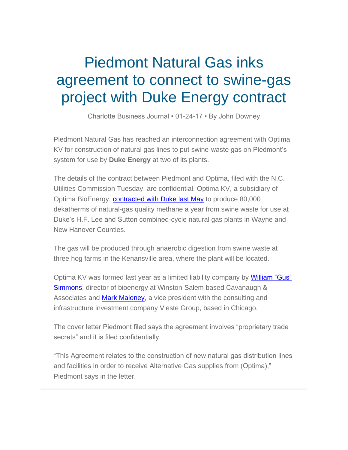## Piedmont Natural Gas inks agreement to connect to swine-gas project with Duke Energy contract

Charlotte Business Journal • 01-24-17 • By John Downey

Piedmont Natural Gas has reached an interconnection agreement with Optima KV for construction of natural gas lines to put swine-waste gas on Piedmont's system for use by **Duke Energy** at two of its plants.

The details of the contract between Piedmont and Optima, filed with the N.C. Utilities Commission Tuesday, are confidential. Optima KV, a subsidiary of Optima BioEnergy, [contracted with Duke last May](http://www.bizjournals.com/charlotte/news/2016/05/25/duke-energy-finalizes-another-swine-waste-deal.html) to produce 80,000 dekatherms of natural-gas quality methane a year from swine waste for use at Duke's H.F. Lee and Sutton combined-cycle natural gas plants in Wayne and New Hanover Counties.

The gas will be produced through anaerobic digestion from swine waste at three hog farms in the Kenansville area, where the plant will be located.

Optima KV was formed last year as a limited liability company by William "Gus" [Simmons,](http://www.bizjournals.com/charlotte/search/results?q=William%20%E2%80%9CGus%E2%80%9D%20Simmons) director of bioenergy at Winston-Salem based Cavanaugh & Associates and [Mark Maloney,](http://www.bizjournals.com/charlotte/search/results?q=Mark%20Maloney) a vice president with the consulting and infrastructure investment company Vieste Group, based in Chicago.

The cover letter Piedmont filed says the agreement involves "proprietary trade secrets" and it is filed confidentially.

"This Agreement relates to the construction of new natural gas distribution lines and facilities in order to receive Alternative Gas supplies from (Optima)," Piedmont says in the letter.